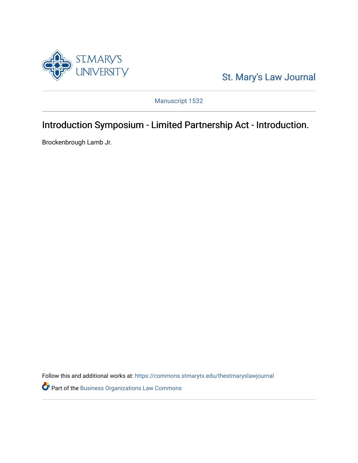

[St. Mary's Law Journal](https://commons.stmarytx.edu/thestmaryslawjournal) 

Manuscript 1532

# Introduction Symposium - Limited Partnership Act - Introduction.

Brockenbrough Lamb Jr.

Follow this and additional works at: [https://commons.stmarytx.edu/thestmaryslawjournal](https://commons.stmarytx.edu/thestmaryslawjournal?utm_source=commons.stmarytx.edu%2Fthestmaryslawjournal%2Fvol9%2Fiss3%2F3&utm_medium=PDF&utm_campaign=PDFCoverPages) 

Part of the [Business Organizations Law Commons](https://network.bepress.com/hgg/discipline/900?utm_source=commons.stmarytx.edu%2Fthestmaryslawjournal%2Fvol9%2Fiss3%2F3&utm_medium=PDF&utm_campaign=PDFCoverPages)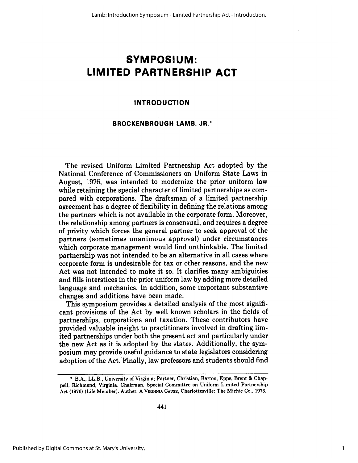# **SYMPOSIUM: LIMITED PARTNERSHIP ACT**

### **INTRODUCTION**

### **BROCKENBROUGH LAMB, JR.\***

The revised Uniform Limited Partnership Act adopted by the National Conference of Commissioners on Uniform State Laws in August, **1976,** was intended to modernize the prior uniform law while retaining the special character of limited partnerships as compared with corporations. The draftsman of a limited partnership agreement has a degree of flexibility in defining the relations among the partners which is not available in the corporate form. Moreover, the relationship among partners is consensual, and requires a degree of privity which forces the general partner to seek approval of the partners (sometimes unanimous approval) under circumstances which corporate management would find unthinkable. The limited partnership was not intended to be an alternative in all cases where corporate form is undesirable for tax or other reasons, and the new Act was not intended to make it so. It clarifies many ambiguities and fills interstices in the prior uniform law **by** adding more detailed language and mechanics. In addition, some important substantive changes and additions have been made.

This symposium provides a detailed analysis of the most significant provisions of the Act **by** well known scholars in the fields of partnerships, corporations and taxation. These contributors have provided valuable insight to practitioners involved in drafting limited partnerships under both the present act and particularly under the new Act as it is adopted **by** the states. Additionally, the symposium may provide useful guidance to state legislators considering adoption of the Act. Finally, law professors and students should find

**<sup>\*</sup>** B.A., LL.B., University of Virginia; Partner, Christian, Barton, **Epps,** Brent & Chappell, Richmond, Virginia. Chairman, Special Committee on Uniform Limited Partnership Act **(1976)** (Life Member). Auther, A VIRGINIA **CAUSE,** Charlottesville: The Michie Co., **1976.**